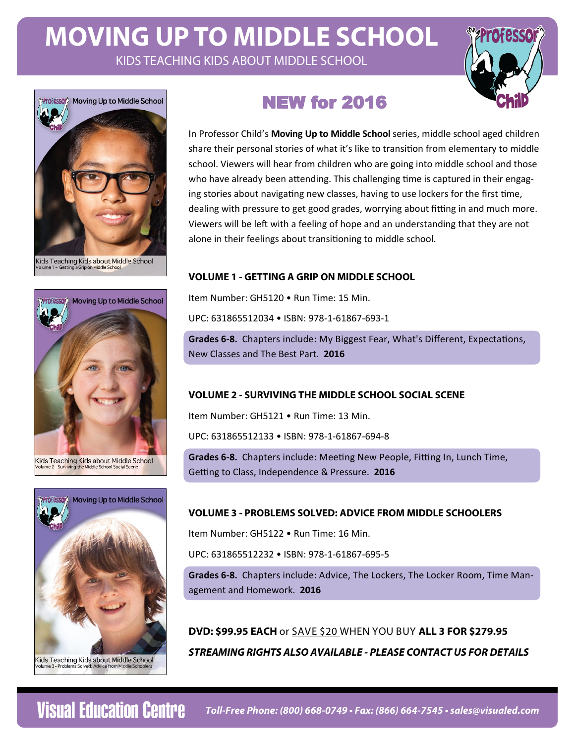# **MOVING UP TO MIDDLE SCHOOL**  KIDS TEACHING KIDS ABOUT MIDDLE SCHOOL





Kids Teaching Kids about Middle School





# **NEW for 2016**

In Professor Child's **Moving Up to Middle School** series, middle school aged children share their personal stories of what it's like to transition from elementary to middle school. Viewers will hear from children who are going into middle school and those who have already been attending. This challenging time is captured in their engaging stories about navigating new classes, having to use lockers for the first time, dealing with pressure to get good grades, worrying about fitting in and much more. Viewers will be left with a feeling of hope and an understanding that they are not alone in their feelings about transitioning to middle school.

## **VOLUME 1 - GETTING A GRIP ON MIDDLE SCHOOL**

Item Number: GH5120 • Run Time: 15 Min.

UPC: 631865512034 • ISBN: 978-1-61867-693-1

**Grades 6-8.** Chapters include: My Biggest Fear, What's Different, Expectations, New Classes and The Best Part. **2016**

## **VOLUME 2 - SURVIVING THE MIDDLE SCHOOL SOCIAL SCENE**

Item Number: GH5121 • Run Time: 13 Min.

UPC: 631865512133 • ISBN: 978-1-61867-694-8

**Grades 6-8.** Chapters include: Meeting New People, Fitting In, Lunch Time, Getting to Class, Independence & Pressure. 2016

## **VOLUME 3 - PROBLEMS SOLVED: ADVICE FROM MIDDLE SCHOOLERS**

Item Number: GH5122 • Run Time: 16 Min.

UPC: 631865512232 • ISBN: 978-1-61867-695-5

**Grades 6‐8.** Chapters include: Advice, The Lockers, The Locker Room, Time Management and Homework. **2016**

**DVD: \$99.95 EACH** or SAVE \$20 WHEN YOU BUY **ALL 3 FOR \$279.95 STREAMING RIGHTS ALSO AVAILABLE - PLEASE CONTACT US FOR DETAILS**

**Visual Education Centre**